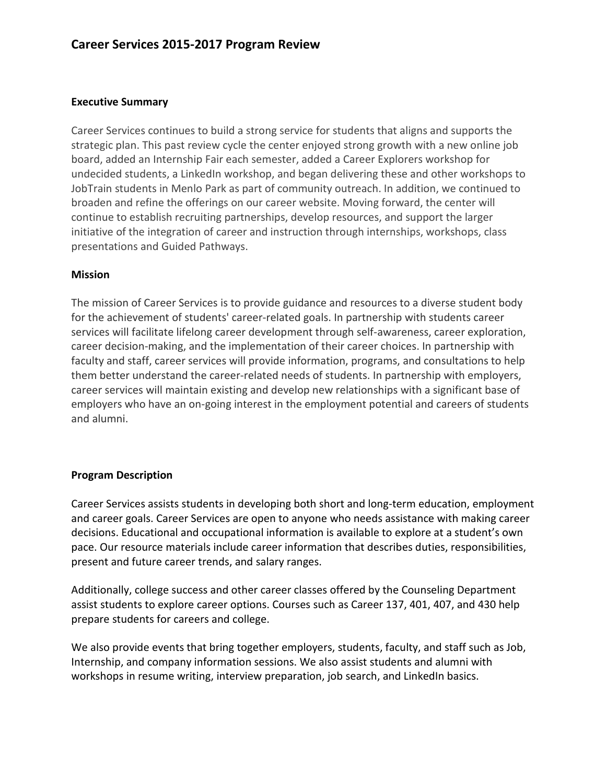#### **Executive Summary**

Career Services continues to build a strong service for students that aligns and supports the strategic plan. This past review cycle the center enjoyed strong growth with a new online job board, added an Internship Fair each semester, added a Career Explorers workshop for undecided students, a LinkedIn workshop, and began delivering these and other workshops to JobTrain students in Menlo Park as part of community outreach. In addition, we continued to broaden and refine the offerings on our career website. Moving forward, the center will continue to establish recruiting partnerships, develop resources, and support the larger initiative of the integration of career and instruction through internships, workshops, class presentations and Guided Pathways.

#### **Mission**

The mission of Career Services is to provide guidance and resources to a diverse student body for the achievement of students' career-related goals. In partnership with students career services will facilitate lifelong career development through self-awareness, career exploration, career decision-making, and the implementation of their career choices. In partnership with faculty and staff, career services will provide information, programs, and consultations to help them better understand the career-related needs of students. In partnership with employers, career services will maintain existing and develop new relationships with a significant base of employers who have an on-going interest in the employment potential and careers of students and alumni.

### **Program Description**

Career Services assists students in developing both short and long-term education, employment and career goals. Career Services are open to anyone who needs assistance with making career decisions. Educational and occupational information is available to explore at a student's own pace. Our resource materials include career information that describes duties, responsibilities, present and future career trends, and salary ranges.

Additionally, college success and other career classes offered by the Counseling Department assist students to explore career options. Courses such as Career 137, 401, 407, and 430 help prepare students for careers and college.

We also provide events that bring together employers, students, faculty, and staff such as Job, Internship, and company information sessions. We also assist students and alumni with workshops in resume writing, interview preparation, job search, and LinkedIn basics.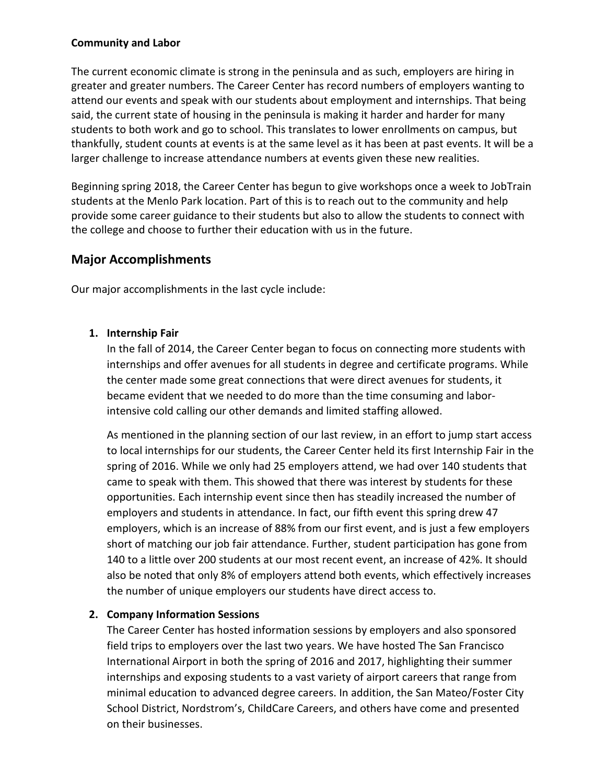### **Community and Labor**

The current economic climate is strong in the peninsula and as such, employers are hiring in greater and greater numbers. The Career Center has record numbers of employers wanting to attend our events and speak with our students about employment and internships. That being said, the current state of housing in the peninsula is making it harder and harder for many students to both work and go to school. This translates to lower enrollments on campus, but thankfully, student counts at events is at the same level as it has been at past events. It will be a larger challenge to increase attendance numbers at events given these new realities.

Beginning spring 2018, the Career Center has begun to give workshops once a week to JobTrain students at the Menlo Park location. Part of this is to reach out to the community and help provide some career guidance to their students but also to allow the students to connect with the college and choose to further their education with us in the future.

# **Major Accomplishments**

Our major accomplishments in the last cycle include:

# **1. Internship Fair**

In the fall of 2014, the Career Center began to focus on connecting more students with internships and offer avenues for all students in degree and certificate programs. While the center made some great connections that were direct avenues for students, it became evident that we needed to do more than the time consuming and laborintensive cold calling our other demands and limited staffing allowed.

As mentioned in the planning section of our last review, in an effort to jump start access to local internships for our students, the Career Center held its first Internship Fair in the spring of 2016. While we only had 25 employers attend, we had over 140 students that came to speak with them. This showed that there was interest by students for these opportunities. Each internship event since then has steadily increased the number of employers and students in attendance. In fact, our fifth event this spring drew 47 employers, which is an increase of 88% from our first event, and is just a few employers short of matching our job fair attendance. Further, student participation has gone from 140 to a little over 200 students at our most recent event, an increase of 42%. It should also be noted that only 8% of employers attend both events, which effectively increases the number of unique employers our students have direct access to.

# **2. Company Information Sessions**

The Career Center has hosted information sessions by employers and also sponsored field trips to employers over the last two years. We have hosted The San Francisco International Airport in both the spring of 2016 and 2017, highlighting their summer internships and exposing students to a vast variety of airport careers that range from minimal education to advanced degree careers. In addition, the San Mateo/Foster City School District, Nordstrom's, ChildCare Careers, and others have come and presented on their businesses.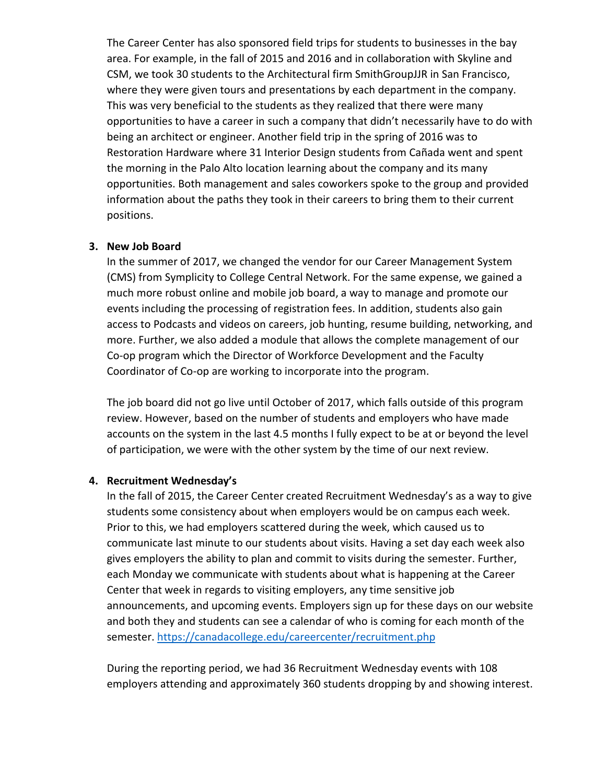The Career Center has also sponsored field trips for students to businesses in the bay area. For example, in the fall of 2015 and 2016 and in collaboration with Skyline and CSM, we took 30 students to the Architectural firm SmithGroupJJR in San Francisco, where they were given tours and presentations by each department in the company. This was very beneficial to the students as they realized that there were many opportunities to have a career in such a company that didn't necessarily have to do with being an architect or engineer. Another field trip in the spring of 2016 was to Restoration Hardware where 31 Interior Design students from Cañada went and spent the morning in the Palo Alto location learning about the company and its many opportunities. Both management and sales coworkers spoke to the group and provided information about the paths they took in their careers to bring them to their current positions.

#### **3. New Job Board**

In the summer of 2017, we changed the vendor for our Career Management System (CMS) from Symplicity to College Central Network. For the same expense, we gained a much more robust online and mobile job board, a way to manage and promote our events including the processing of registration fees. In addition, students also gain access to Podcasts and videos on careers, job hunting, resume building, networking, and more. Further, we also added a module that allows the complete management of our Co-op program which the Director of Workforce Development and the Faculty Coordinator of Co-op are working to incorporate into the program.

The job board did not go live until October of 2017, which falls outside of this program review. However, based on the number of students and employers who have made accounts on the system in the last 4.5 months I fully expect to be at or beyond the level of participation, we were with the other system by the time of our next review.

### **4. Recruitment Wednesday's**

In the fall of 2015, the Career Center created Recruitment Wednesday's as a way to give students some consistency about when employers would be on campus each week. Prior to this, we had employers scattered during the week, which caused us to communicate last minute to our students about visits. Having a set day each week also gives employers the ability to plan and commit to visits during the semester. Further, each Monday we communicate with students about what is happening at the Career Center that week in regards to visiting employers, any time sensitive job announcements, and upcoming events. Employers sign up for these days on our website and both they and students can see a calendar of who is coming for each month of the semester.<https://canadacollege.edu/careercenter/recruitment.php>

During the reporting period, we had 36 Recruitment Wednesday events with 108 employers attending and approximately 360 students dropping by and showing interest.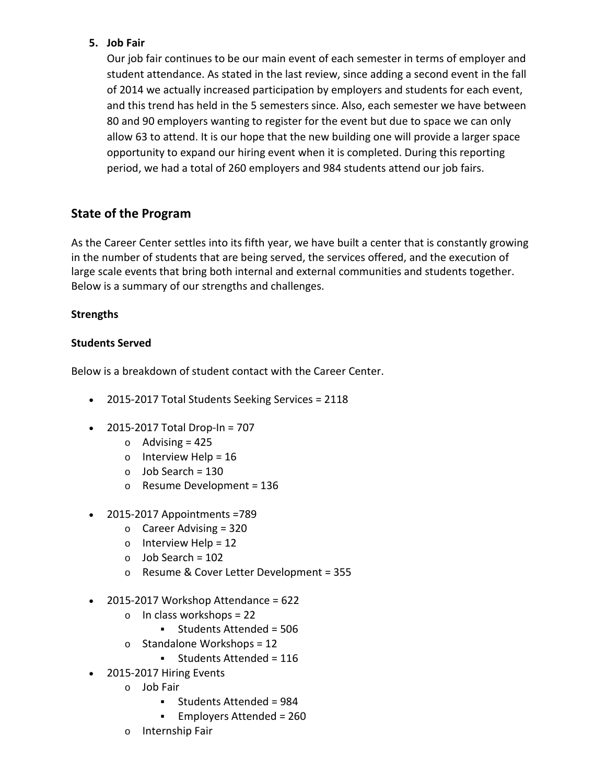# **5. Job Fair**

Our job fair continues to be our main event of each semester in terms of employer and student attendance. As stated in the last review, since adding a second event in the fall of 2014 we actually increased participation by employers and students for each event, and this trend has held in the 5 semesters since. Also, each semester we have between 80 and 90 employers wanting to register for the event but due to space we can only allow 63 to attend. It is our hope that the new building one will provide a larger space opportunity to expand our hiring event when it is completed. During this reporting period, we had a total of 260 employers and 984 students attend our job fairs.

# **State of the Program**

As the Career Center settles into its fifth year, we have built a center that is constantly growing in the number of students that are being served, the services offered, and the execution of large scale events that bring both internal and external communities and students together. Below is a summary of our strengths and challenges.

# **Strengths**

# **Students Served**

Below is a breakdown of student contact with the Career Center.

- 2015-2017 Total Students Seeking Services = 2118
- 2015-2017 Total Drop-In = 707
	- $\circ$  Advising = 425
	- $\circ$  Interview Help = 16
	- $\circ$  Job Search = 130
	- o Resume Development = 136
- 2015-2017 Appointments =789
	- $\circ$  Career Advising = 320
	- $\circ$  Interview Help = 12
	- $\circ$  Job Search = 102
	- o Resume & Cover Letter Development = 355
- $\bullet$  2015-2017 Workshop Attendance = 622
	- $\circ$  In class workshops = 22
		- Students Attended = 506
	- $\circ$  Standalone Workshops = 12
		- Students Attended = 116
- 2015-2017 Hiring Events
	- o Job Fair
		- Students Attended = 984
		- Employers Attended = 260
	- o Internship Fair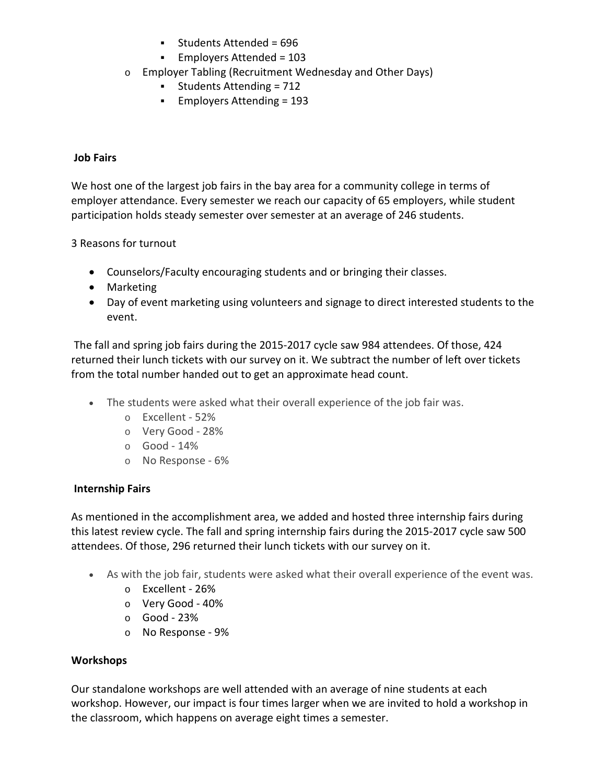- $\blacksquare$  Students Attended = 696
- Employers Attended = 103
- o Employer Tabling (Recruitment Wednesday and Other Days)
	- Students Attending = 712
	- Employers Attending = 193

# **Job Fairs**

We host one of the largest job fairs in the bay area for a community college in terms of employer attendance. Every semester we reach our capacity of 65 employers, while student participation holds steady semester over semester at an average of 246 students.

3 Reasons for turnout

- Counselors/Faculty encouraging students and or bringing their classes.
- Marketing
- Day of event marketing using volunteers and signage to direct interested students to the event.

The fall and spring job fairs during the 2015-2017 cycle saw 984 attendees. Of those, 424 returned their lunch tickets with our survey on it. We subtract the number of left over tickets from the total number handed out to get an approximate head count.

- The students were asked what their overall experience of the job fair was.
	- o Excellent 52%
	- o Very Good 28%
	- o Good 14%
	- o No Response 6%

# **Internship Fairs**

As mentioned in the accomplishment area, we added and hosted three internship fairs during this latest review cycle. The fall and spring internship fairs during the 2015-2017 cycle saw 500 attendees. Of those, 296 returned their lunch tickets with our survey on it.

- As with the job fair, students were asked what their overall experience of the event was.
	- o Excellent 26%
	- o Very Good 40%
	- o Good 23%
	- o No Response 9%

# **Workshops**

Our standalone workshops are well attended with an average of nine students at each workshop. However, our impact is four times larger when we are invited to hold a workshop in the classroom, which happens on average eight times a semester.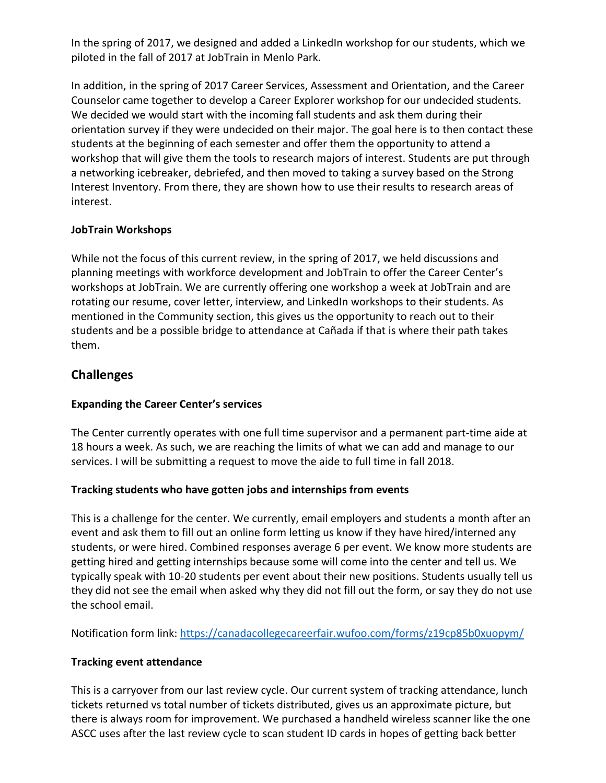In the spring of 2017, we designed and added a LinkedIn workshop for our students, which we piloted in the fall of 2017 at JobTrain in Menlo Park.

In addition, in the spring of 2017 Career Services, Assessment and Orientation, and the Career Counselor came together to develop a Career Explorer workshop for our undecided students. We decided we would start with the incoming fall students and ask them during their orientation survey if they were undecided on their major. The goal here is to then contact these students at the beginning of each semester and offer them the opportunity to attend a workshop that will give them the tools to research majors of interest. Students are put through a networking icebreaker, debriefed, and then moved to taking a survey based on the Strong Interest Inventory. From there, they are shown how to use their results to research areas of interest.

# **JobTrain Workshops**

While not the focus of this current review, in the spring of 2017, we held discussions and planning meetings with workforce development and JobTrain to offer the Career Center's workshops at JobTrain. We are currently offering one workshop a week at JobTrain and are rotating our resume, cover letter, interview, and LinkedIn workshops to their students. As mentioned in the Community section, this gives us the opportunity to reach out to their students and be a possible bridge to attendance at Cañada if that is where their path takes them.

# **Challenges**

# **Expanding the Career Center's services**

The Center currently operates with one full time supervisor and a permanent part-time aide at 18 hours a week. As such, we are reaching the limits of what we can add and manage to our services. I will be submitting a request to move the aide to full time in fall 2018.

# **Tracking students who have gotten jobs and internships from events**

This is a challenge for the center. We currently, email employers and students a month after an event and ask them to fill out an online form letting us know if they have hired/interned any students, or were hired. Combined responses average 6 per event. We know more students are getting hired and getting internships because some will come into the center and tell us. We typically speak with 10-20 students per event about their new positions. Students usually tell us they did not see the email when asked why they did not fill out the form, or say they do not use the school email.

Notification form link:<https://canadacollegecareerfair.wufoo.com/forms/z19cp85b0xuopym/>

# **Tracking event attendance**

This is a carryover from our last review cycle. Our current system of tracking attendance, lunch tickets returned vs total number of tickets distributed, gives us an approximate picture, but there is always room for improvement. We purchased a handheld wireless scanner like the one ASCC uses after the last review cycle to scan student ID cards in hopes of getting back better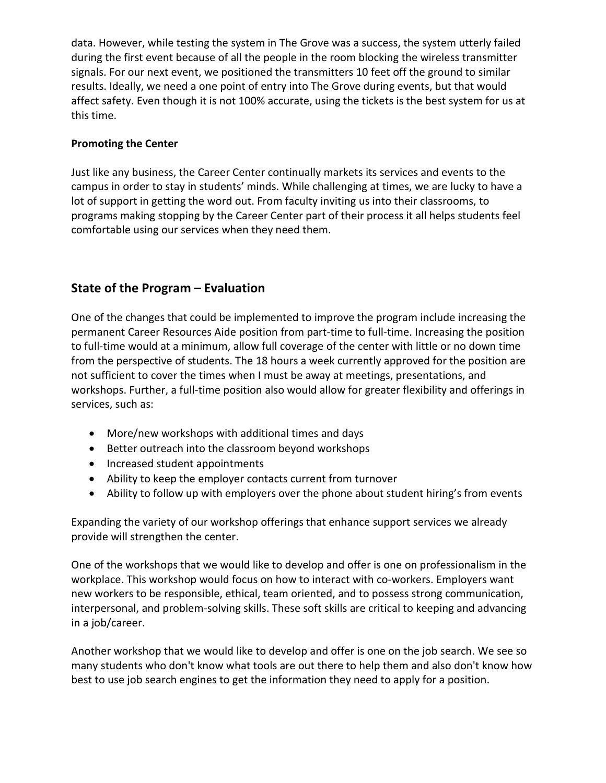data. However, while testing the system in The Grove was a success, the system utterly failed during the first event because of all the people in the room blocking the wireless transmitter signals. For our next event, we positioned the transmitters 10 feet off the ground to similar results. Ideally, we need a one point of entry into The Grove during events, but that would affect safety. Even though it is not 100% accurate, using the tickets is the best system for us at this time.

# **Promoting the Center**

Just like any business, the Career Center continually markets its services and events to the campus in order to stay in students' minds. While challenging at times, we are lucky to have a lot of support in getting the word out. From faculty inviting us into their classrooms, to programs making stopping by the Career Center part of their process it all helps students feel comfortable using our services when they need them.

# **State of the Program – Evaluation**

One of the changes that could be implemented to improve the program include increasing the permanent Career Resources Aide position from part-time to full-time. Increasing the position to full-time would at a minimum, allow full coverage of the center with little or no down time from the perspective of students. The 18 hours a week currently approved for the position are not sufficient to cover the times when I must be away at meetings, presentations, and workshops. Further, a full-time position also would allow for greater flexibility and offerings in services, such as:

- More/new workshops with additional times and days
- Better outreach into the classroom beyond workshops
- Increased student appointments
- Ability to keep the employer contacts current from turnover
- Ability to follow up with employers over the phone about student hiring's from events

Expanding the variety of our workshop offerings that enhance support services we already provide will strengthen the center.

One of the workshops that we would like to develop and offer is one on professionalism in the workplace. This workshop would focus on how to interact with co-workers. Employers want new workers to be responsible, ethical, team oriented, and to possess strong communication, interpersonal, and problem-solving skills. These soft skills are critical to keeping and advancing in a job/career.

Another workshop that we would like to develop and offer is one on the job search. We see so many students who don't know what tools are out there to help them and also don't know how best to use job search engines to get the information they need to apply for a position.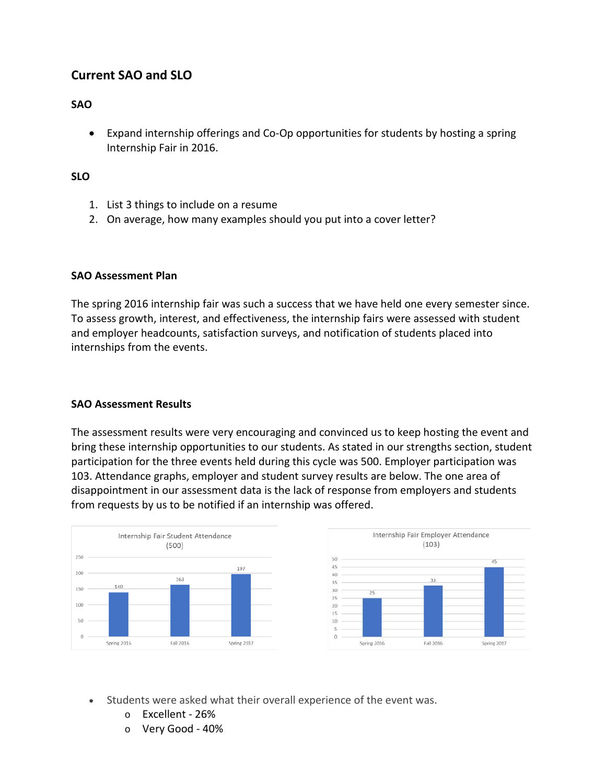# **Current SAO and SLO**

### **SAO**

• Expand internship offerings and Co-Op opportunities for students by hosting a spring Internship Fair in 2016.

### **SLO**

- 1. List 3 things to include on a resume
- 2. On average, how many examples should you put into a cover letter?

### **SAO Assessment Plan**

The spring 2016 internship fair was such a success that we have held one every semester since. To assess growth, interest, and effectiveness, the internship fairs were assessed with student and employer headcounts, satisfaction surveys, and notification of students placed into internships from the events.

### **SAO Assessment Results**

The assessment results were very encouraging and convinced us to keep hosting the event and bring these internship opportunities to our students. As stated in our strengths section, student participation for the three events held during this cycle was 500. Employer participation was 103. Attendance graphs, employer and student survey results are below. The one area of disappointment in our assessment data is the lack of response from employers and students from requests by us to be notified if an internship was offered.



- Students were asked what their overall experience of the event was.
	- o Excellent 26%
	- o Very Good 40%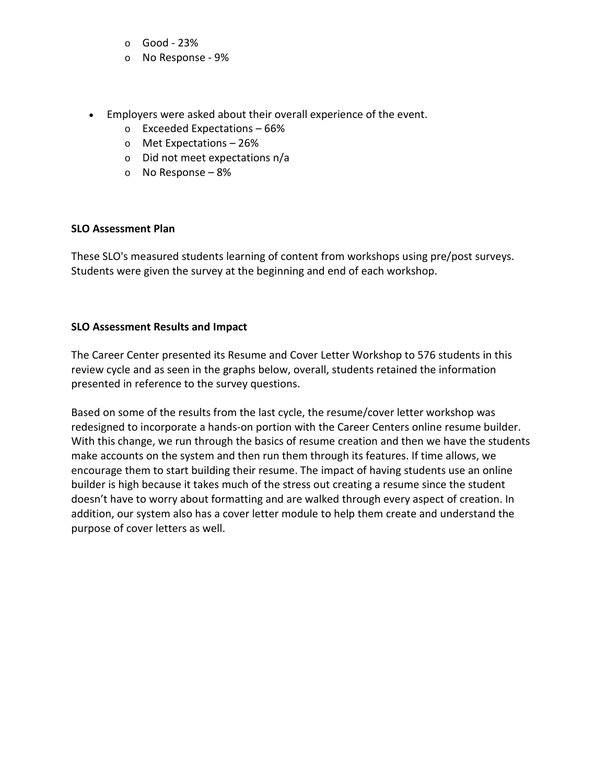- o Good 23%
- o No Response 9%
- Employers were asked about their overall experience of the event.
	- o Exceeded Expectations 66%
	- o Met Expectations 26%
	- o Did not meet expectations n/a
	- o No Response 8%

### **SLO Assessment Plan**

These SLO's measured students learning of content from workshops using pre/post surveys. Students were given the survey at the beginning and end of each workshop.

### **SLO Assessment Results and Impact**

The Career Center presented its Resume and Cover Letter Workshop to 576 students in this review cycle and as seen in the graphs below, overall, students retained the information presented in reference to the survey questions.

Based on some of the results from the last cycle, the resume/cover letter workshop was redesigned to incorporate a hands-on portion with the Career Centers online resume builder. With this change, we run through the basics of resume creation and then we have the students make accounts on the system and then run them through its features. If time allows, we encourage them to start building their resume. The impact of having students use an online builder is high because it takes much of the stress out creating a resume since the student doesn't have to worry about formatting and are walked through every aspect of creation. In addition, our system also has a cover letter module to help them create and understand the purpose of cover letters as well.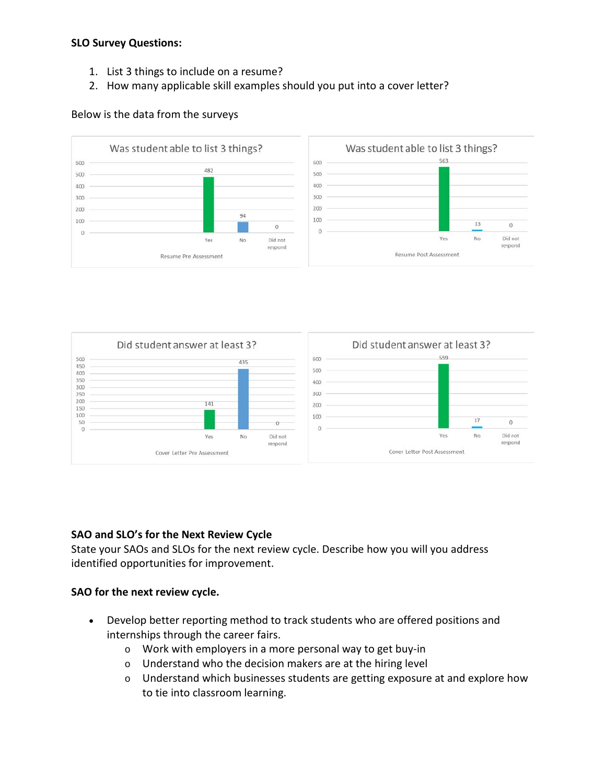### **SLO Survey Questions:**

- 1. List 3 things to include on a resume?
- 2. How many applicable skill examples should you put into a cover letter?

### Below is the data from the surveys





### **SAO and SLO's for the Next Review Cycle**

State your SAOs and SLOs for the next review cycle. Describe how you will you address identified opportunities for improvement.

### **SAO for the next review cycle.**

- Develop better reporting method to track students who are offered positions and internships through the career fairs.
	- o Work with employers in a more personal way to get buy-in
	- o Understand who the decision makers are at the hiring level
	- o Understand which businesses students are getting exposure at and explore how to tie into classroom learning.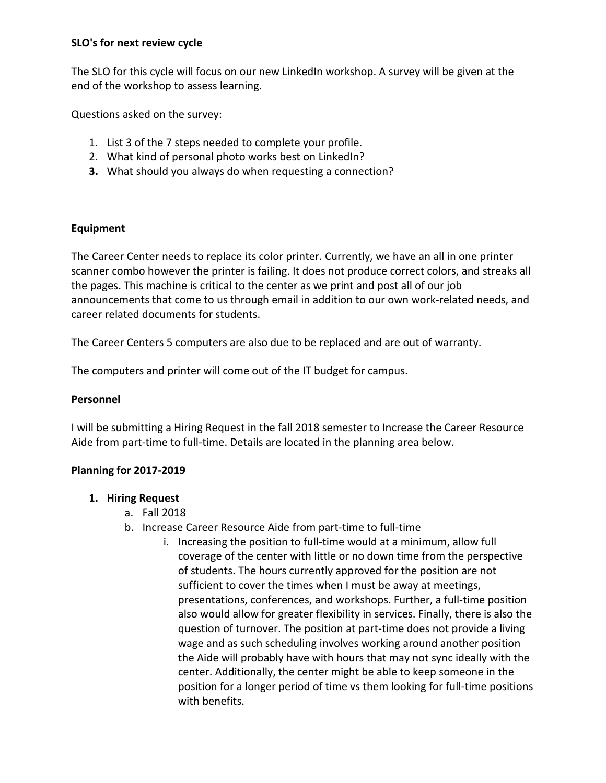### **SLO's for next review cycle**

The SLO for this cycle will focus on our new LinkedIn workshop. A survey will be given at the end of the workshop to assess learning.

Questions asked on the survey:

- 1. List 3 of the 7 steps needed to complete your profile.
- 2. What kind of personal photo works best on LinkedIn?
- **3.** What should you always do when requesting a connection?

### **Equipment**

The Career Center needs to replace its color printer. Currently, we have an all in one printer scanner combo however the printer is failing. It does not produce correct colors, and streaks all the pages. This machine is critical to the center as we print and post all of our job announcements that come to us through email in addition to our own work-related needs, and career related documents for students.

The Career Centers 5 computers are also due to be replaced and are out of warranty.

The computers and printer will come out of the IT budget for campus.

### **Personnel**

I will be submitting a Hiring Request in the fall 2018 semester to Increase the Career Resource Aide from part-time to full-time. Details are located in the planning area below.

### **Planning for 2017-2019**

### **1. Hiring Request**

- a. Fall 2018
- b. Increase Career Resource Aide from part-time to full-time
	- i. Increasing the position to full-time would at a minimum, allow full coverage of the center with little or no down time from the perspective of students. The hours currently approved for the position are not sufficient to cover the times when I must be away at meetings, presentations, conferences, and workshops. Further, a full-time position also would allow for greater flexibility in services. Finally, there is also the question of turnover. The position at part-time does not provide a living wage and as such scheduling involves working around another position the Aide will probably have with hours that may not sync ideally with the center. Additionally, the center might be able to keep someone in the position for a longer period of time vs them looking for full-time positions with benefits.